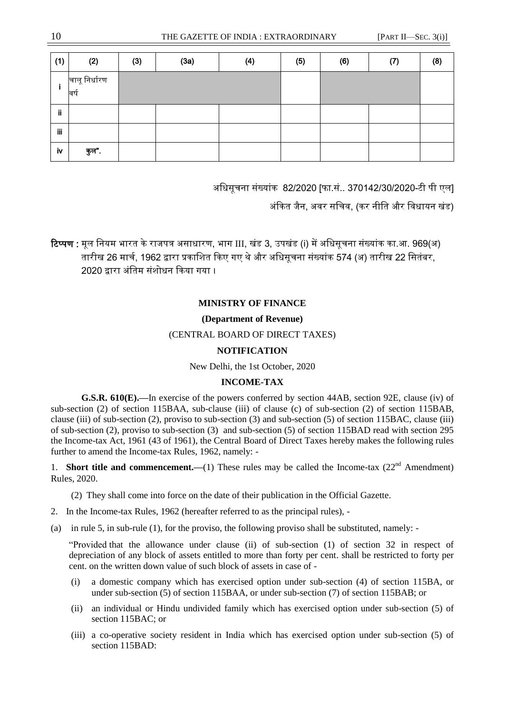## **MINISTRY OF FINANCE**

# **(Department of Revenue)**

# (CENTRAL BOARD OF DIRECT TAXES)

# **NOTIFICATION**

New Delhi, the 1st October, 2020

# **INCOME-TAX**

**G.S.R. 610(E).—**In exercise of the powers conferred by section 44AB, section 92E, clause (iv) of sub-section (2) of section 115BAA, sub-clause (iii) of clause (c) of sub-section (2) of section 115BAB. clause (iii) of sub-section (2), proviso to sub-section (3) and sub-section (5) of section 115BAC, clause (iii) of sub-section (2), proviso to sub-section (3) and sub-section (5) of section 115BAD read with section 295 the Income-tax Act, 1961 (43 of 1961), the Central Board of Direct Taxes hereby makes the following rules further to amend the Income-tax Rules, 1962, namely: -

1. **Short title and commencement.** (1) These rules may be called the Income-tax  $(22<sup>nd</sup>$  Amendment) Rules, 2020.

(2) They shall come into force on the date of their publication in the Official Gazette.

- 2. In the Income-tax Rules, 1962 (hereafter referred to as the principal rules), -
- (a) in rule 5, in sub-rule (1), for the proviso, the following proviso shall be substituted, namely: -

"Provided that the allowance under clause (ii) of sub-section (1) of section 32 in respect of depreciation of any block of assets entitled to more than forty per cent. shall be restricted to forty per cent. on the written down value of such block of assets in case of -

- (i) a domestic company which has exercised option under sub-section (4) of section 115BA, or under sub-section (5) of section 115BAA, or under sub-section (7) of section 115BAB; or
- (ii) an individual or Hindu undivided family which has exercised option under sub-section (5) of section 115BAC; or
- (iii) a co-operative society resident in India which has exercised option under sub-section (5) of section 115BAD: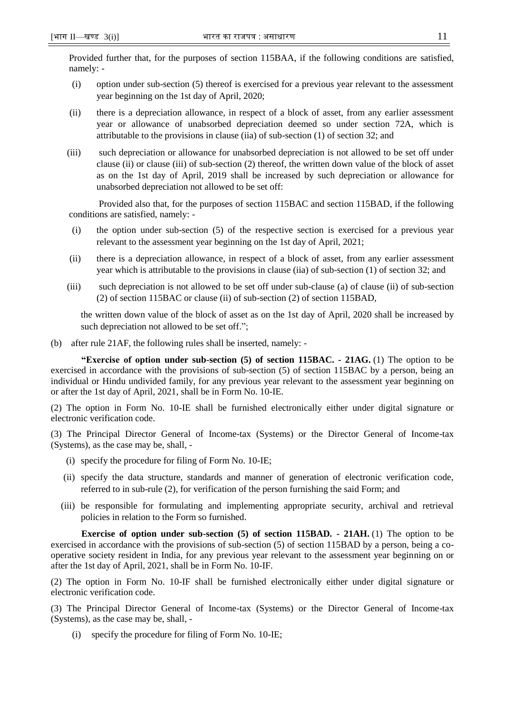Provided further that, for the purposes of section 115BAA, if the following conditions are satisfied, namely: -

- (i) option under sub-section (5) thereof is exercised for a previous year relevant to the assessment year beginning on the 1st day of April, 2020;
- (ii) there is a depreciation allowance, in respect of a block of asset, from any earlier assessment year or allowance of unabsorbed depreciation deemed so under section 72A, which is attributable to the provisions in clause (iia) of sub-section (1) of section 32; and
- (iii) such depreciation or allowance for unabsorbed depreciation is not allowed to be set off under clause (ii) or clause (iii) of sub-section (2) thereof, the written down value of the block of asset as on the 1st day of April, 2019 shall be increased by such depreciation or allowance for unabsorbed depreciation not allowed to be set off:

Provided also that, for the purposes of section 115BAC and section 115BAD, if the following conditions are satisfied, namely: -

- (i) the option under sub-section (5) of the respective section is exercised for a previous year relevant to the assessment year beginning on the 1st day of April, 2021;
- (ii) there is a depreciation allowance, in respect of a block of asset, from any earlier assessment year which is attributable to the provisions in clause (iia) of sub-section (1) of section 32; and
- (iii) such depreciation is not allowed to be set off under sub-clause (a) of clause (ii) of sub-section (2) of section 115BAC or clause (ii) of sub-section (2) of section 115BAD,

the written down value of the block of asset as on the 1st day of April, 2020 shall be increased by such depreciation not allowed to be set off.";

(b) after rule 21AF, the following rules shall be inserted, namely: -

**"Exercise of option under sub-section (5) of section 115BAC. - 21AG.** (1) The option to be exercised in accordance with the provisions of sub-section (5) of section 115BAC by a person, being an individual or Hindu undivided family, for any previous year relevant to the assessment year beginning on or after the 1st day of April, 2021, shall be in Form No. 10-IE.

(2) The option in Form No. 10-IE shall be furnished electronically either under digital signature or electronic verification code.

(3) The Principal Director General of Income-tax (Systems) or the Director General of Income-tax (Systems), as the case may be, shall, -

- (i) specify the procedure for filing of Form No. 10-IE;
- (ii) specify the data structure, standards and manner of generation of electronic verification code, referred to in sub-rule (2), for verification of the person furnishing the said Form; and
- (iii) be responsible for formulating and implementing appropriate security, archival and retrieval policies in relation to the Form so furnished.

**Exercise of option under sub-section (5) of section 115BAD***. -* **21AH.** (1) The option to be exercised in accordance with the provisions of sub-section (5) of section 115BAD by a person, being a cooperative society resident in India, for any previous year relevant to the assessment year beginning on or after the 1st day of April, 2021, shall be in Form No. 10-IF.

(2) The option in Form No. 10-IF shall be furnished electronically either under digital signature or electronic verification code.

(3) The Principal Director General of Income-tax (Systems) or the Director General of Income-tax (Systems), as the case may be, shall, -

(i) specify the procedure for filing of Form No. 10-IE;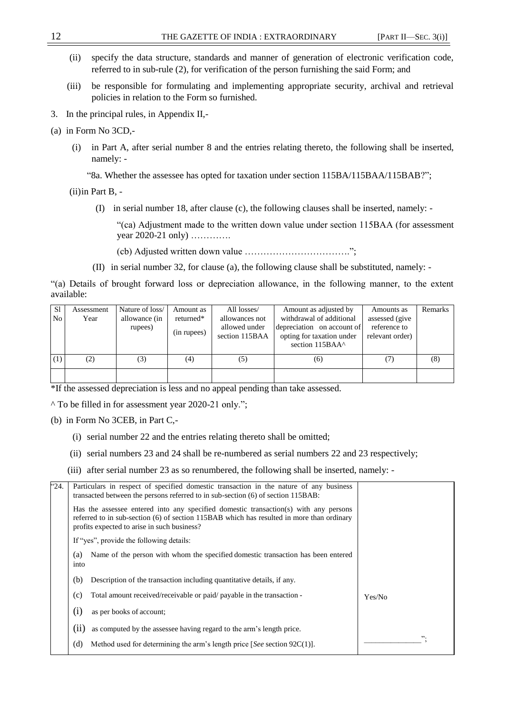- (ii) specify the data structure, standards and manner of generation of electronic verification code, referred to in sub-rule (2), for verification of the person furnishing the said Form; and
- (iii) be responsible for formulating and implementing appropriate security, archival and retrieval policies in relation to the Form so furnished.
- 3. In the principal rules, in Appendix II,-
- (a) in Form No 3CD,-
	- (i) in Part A, after serial number 8 and the entries relating thereto, the following shall be inserted, namely: -

"8a. Whether the assessee has opted for taxation under section 115BA/115BAA/115BAB?";

(ii)in Part B, -

(I) in serial number 18, after clause (c), the following clauses shall be inserted, namely: -

"(ca) Adjustment made to the written down value under section 115BAA (for assessment year 2020-21 only) ………….

(cb) Adjusted written down value …………………………….";

(II) in serial number 32, for clause (a), the following clause shall be substituted, namely: -

"(a) Details of brought forward loss or depreciation allowance, in the following manner, to the extent available:

| <sub>S1</sub>   | Assessment | Nature of loss/ | Amount as   | All losses/                     | Amount as adjusted by                                                      | Amounts as                      | Remarks |
|-----------------|------------|-----------------|-------------|---------------------------------|----------------------------------------------------------------------------|---------------------------------|---------|
| No <sub>1</sub> | Year       | allowance (in   | returned*   | allowances not                  | withdrawal of additional                                                   | assessed (give                  |         |
|                 |            | rupees)         | (in rupees) | allowed under<br>section 115BAA | depreciation on account of<br>opting for taxation under<br>section 115BAA^ | reference to<br>relevant order) |         |
| (1)             |            | (3)             | (4)         | (5)                             | (6)                                                                        |                                 | (8)     |
|                 |            |                 |             |                                 |                                                                            |                                 |         |

\*If the assessed depreciation is less and no appeal pending than take assessed.

^ To be filled in for assessment year 2020-21 only.";

(b) in Form No 3CEB, in Part C,-

- (i) serial number 22 and the entries relating thereto shall be omitted;
- (ii) serial numbers 23 and 24 shall be re-numbered as serial numbers 22 and 23 respectively;
- (iii) after serial number 23 as so renumbered, the following shall be inserted, namely: -

| "24. | Particulars in respect of specified domestic transaction in the nature of any business<br>transacted between the persons referred to in sub-section (6) of section 115BAB:                                                       |        |
|------|----------------------------------------------------------------------------------------------------------------------------------------------------------------------------------------------------------------------------------|--------|
|      | Has the assessee entered into any specified domestic transaction(s) with any persons<br>referred to in sub-section (6) of section 115BAB which has resulted in more than ordinary<br>profits expected to arise in such business? |        |
|      | If "yes", provide the following details:                                                                                                                                                                                         |        |
|      | Name of the person with whom the specified domestic transaction has been entered<br>(a)<br>into                                                                                                                                  |        |
|      | (b)<br>Description of the transaction including quantitative details, if any.                                                                                                                                                    |        |
|      | Total amount received/receivable or paid/ payable in the transaction -<br>(c)                                                                                                                                                    | Yes/No |
|      | (1)<br>as per books of account;                                                                                                                                                                                                  |        |
|      | (11)<br>as computed by the assessee having regard to the arm's length price.                                                                                                                                                     |        |
|      | Method used for determining the arm's length price [See section $92C(1)$ ].<br>(d)                                                                                                                                               | ".     |
|      |                                                                                                                                                                                                                                  |        |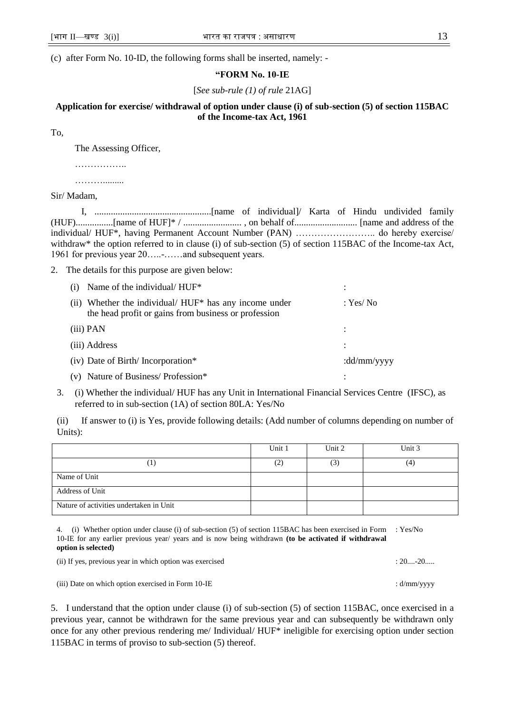(c) after Form No. 10-ID, the following forms shall be inserted, namely: -

### **"FORM No. 10-IE**

[*See sub-rule (1) of rule* 21AG]

# **Application for exercise/ withdrawal of option under clause (i) of sub-section (5) of section 115BAC of the Income-tax Act, 1961**

To,

The Assessing Officer,

……………………

……….........

Sir/ Madam,

I, ..................................................[name of individual]/ Karta of Hindu undivided family (HUF)................[name of HUF]\* / ......................... , on behalf of........................... [name and address of the individual/ HUF\*, having Permanent Account Number (PAN) …………………….. do hereby exercise/ withdraw\* the option referred to in clause (i) of sub-section (5) of section 115BAC of the Income-tax Act, 1961 for previous year 20.....-......and subsequent years.

2. The details for this purpose are given below:

| (i) Name of the individual/ $HUF^*$                                                                               |             |
|-------------------------------------------------------------------------------------------------------------------|-------------|
| Whether the individual/ HUF* has any income under<br>(11)<br>the head profit or gains from business or profession | : Yes/ No   |
| (iii) PAN                                                                                                         |             |
| (iii) Address                                                                                                     |             |
| (iv) Date of Birth/Incorporation*                                                                                 | :dd/mm/yyyy |
| (v) Nature of Business/Profession*                                                                                |             |

3. (i) Whether the individual/ HUF has any Unit in International Financial Services Centre (IFSC), as referred to in sub-section (1A) of section 80LA: Yes/No

(ii) If answer to (i) is Yes, provide following details: (Add number of columns depending on number of Units):

|                                         | Unit 1 | Unit 2 | Unit 3 |
|-----------------------------------------|--------|--------|--------|
| 1                                       | (2)    | (3)    | (4)    |
| Name of Unit                            |        |        |        |
| Address of Unit                         |        |        |        |
| Nature of activities undertaken in Unit |        |        |        |

4. (i) Whether option under clause (i) of sub-section (5) of section 115BAC has been exercised in Form : Yes/No 10-IE for any earlier previous year/ years and is now being withdrawn **(to be activated if withdrawal option is selected)** 

(ii) If yes, previous year in which option was exercised : 20....-20......

(iii) Date on which option exercised in Form 10-IE : d/mm/yyyy

5. I understand that the option under clause (i) of sub-section (5) of section 115BAC, once exercised in a previous year, cannot be withdrawn for the same previous year and can subsequently be withdrawn only once for any other previous rendering me/ Individual/ HUF\* ineligible for exercising option under section 115BAC in terms of proviso to sub-section (5) thereof.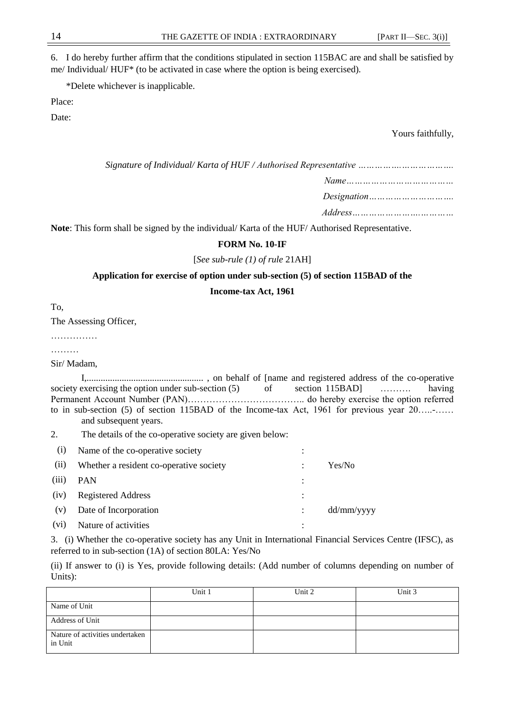6. I do hereby further affirm that the conditions stipulated in section 115BAC are and shall be satisfied by me/ Individual/ HUF\* (to be activated in case where the option is being exercised).

\*Delete whichever is inapplicable.

Place:

Date:

Yours faithfully,

| Signature of Individual/Karta of HUF / Authorised Representative               |
|--------------------------------------------------------------------------------|
| $Name \dots \dots \dots \dots \dots \dots \dots \dots \dots \dots \dots \dots$ |
|                                                                                |
| $Address \dots \dots \dots \dots \dots \dots \dots \dots \dots \dots \dots$    |

**Note**: This form shall be signed by the individual/ Karta of the HUF/ Authorised Representative.

### **FORM No. 10-IF**

#### [*See sub-rule (1) of rule* 21AH]

### **Application for exercise of option under sub-section (5) of section 115BAD of the**

### **Income-tax Act, 1961**

To,

The Assessing Officer,

……………

………

Sir/ Madam,

I,.................................................. , on behalf of [name and registered address of the co-operative society exercising the option under sub-section (5) of section 115BAD] ………. having Permanent Account Number (PAN)……………………………….. do hereby exercise the option referred to in sub-section (5) of section 115BAD of the Income-tax Act, 1961 for previous year 20.....-...... and subsequent years.

2. The details of the co-operative society are given below:

| (1)               | Name of the co-operative society        | ٠         |            |
|-------------------|-----------------------------------------|-----------|------------|
| (11)              | Whether a resident co-operative society |           | Yes/No     |
| (iii)             | <b>PAN</b>                              |           |            |
| (iv)              | <b>Registered Address</b>               | $\bullet$ |            |
| (v)               | Date of Incorporation                   |           | dd/mm/yyyy |
| (v <sub>1</sub> ) | Nature of activities                    | ٠         |            |

3. (i) Whether the co-operative society has any Unit in International Financial Services Centre (IFSC), as referred to in sub-section (1A) of section 80LA: Yes/No

(ii) If answer to (i) is Yes, provide following details: (Add number of columns depending on number of Units):

|                                            | Unit 1 | Unit 2 | Unit 3 |
|--------------------------------------------|--------|--------|--------|
| Name of Unit                               |        |        |        |
| Address of Unit                            |        |        |        |
| Nature of activities undertaken<br>in Unit |        |        |        |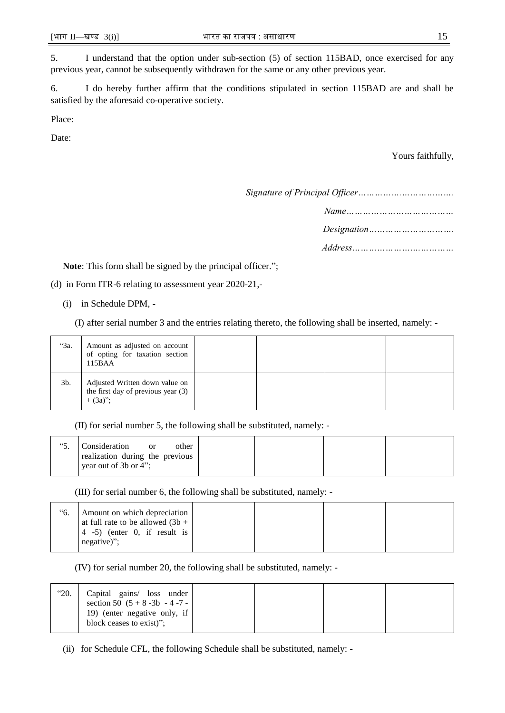5. I understand that the option under sub-section (5) of section 115BAD, once exercised for any previous year, cannot be subsequently withdrawn for the same or any other previous year.

6. I do hereby further affirm that the conditions stipulated in section 115BAD are and shall be satisfied by the aforesaid co-operative society.

Place:

Date:

Yours faithfully,

*Signature of Principal Officer…………….……………….*

*Designation………………………….*

*Address…………………….…………*

Note: This form shall be signed by the principal officer.";

(d) in Form ITR-6 relating to assessment year 2020-21,-

(i) in Schedule DPM, -

(I) after serial number 3 and the entries relating thereto, the following shall be inserted, namely: -

| "3a.   | Amount as adjusted on account<br>of opting for taxation section<br>115BAA           |  |  |
|--------|-------------------------------------------------------------------------------------|--|--|
| $3b$ . | Adjusted Written down value on<br>the first day of previous year (3)<br>$+ (3a)$ ": |  |  |

(II) for serial number 5, the following shall be substituted, namely: -

| other<br>realization during the previous |
|------------------------------------------|
|                                          |

(III) for serial number 6, the following shall be substituted, namely: -

| "б. | Amount on which depreciation                                  |  |  |
|-----|---------------------------------------------------------------|--|--|
|     | at full rate to be allowed $(3b +$                            |  |  |
|     | $\begin{bmatrix} 4 & -5 \end{bmatrix}$ (enter 0, if result is |  |  |
|     | $negative$ ";                                                 |  |  |
|     |                                                               |  |  |

(IV) for serial number 20, the following shall be substituted, namely: -

| "20.<br>Capital gains/ loss under<br>section 50 $(5 + 8 - 3b - 4 - 7 - 1)$ |  |  |
|----------------------------------------------------------------------------|--|--|
| 19) (enter negative only, if<br>block ceases to exist)".                   |  |  |

(ii) for Schedule CFL, the following Schedule shall be substituted, namely: -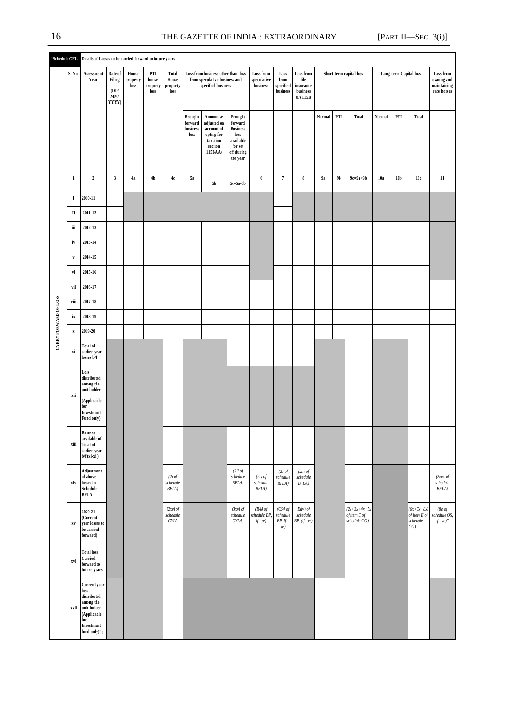|                       |                           | "Schedule CFL Details of Losses to be carried forward to future years                                                               |                                           |                           |                                  |                                    |                                               |                                                                                           |                                                                                                        |                                                                                                                                         |                                          |                                         |                         |                |                                                 |                               |                 |                                                   |                                                       |
|-----------------------|---------------------------|-------------------------------------------------------------------------------------------------------------------------------------|-------------------------------------------|---------------------------|----------------------------------|------------------------------------|-----------------------------------------------|-------------------------------------------------------------------------------------------|--------------------------------------------------------------------------------------------------------|-----------------------------------------------------------------------------------------------------------------------------------------|------------------------------------------|-----------------------------------------|-------------------------|----------------|-------------------------------------------------|-------------------------------|-----------------|---------------------------------------------------|-------------------------------------------------------|
|                       | S. No.                    | Assessment<br>Year                                                                                                                  | Date of<br>Filing<br>(DD/<br>MM/<br>YYYY) | House<br>property<br>loss | PTI<br>house<br>property<br>loss | Total<br>House<br>property<br>loss |                                               | Loss from business other than loss<br>from speculative business and<br>specified business |                                                                                                        | Loss from<br>Loss from<br>Loss<br>speculative<br>from<br>life<br>business<br>specified<br>insurance<br>business<br>business<br>u/s 115B |                                          |                                         | Short-term capital loss |                |                                                 | <b>Long-term Capital loss</b> |                 |                                                   | Loss from<br>owning and<br>maintaining<br>race horses |
|                       |                           |                                                                                                                                     |                                           |                           |                                  |                                    | <b>Brought</b><br>forward<br>business<br>loss | Amount as<br>adjusted on<br>account of<br>opting for<br>taxation<br>section<br>115BAA/    | <b>Brought</b><br>forward<br><b>Business</b><br>loss<br>available<br>for set<br>off during<br>the year |                                                                                                                                         |                                          |                                         | Normal                  | PTI            | <b>Total</b>                                    | Normal                        | PTI             | Total                                             |                                                       |
| CARRY FORWARD OF LOSS | $\mathbf 1$               | $\boldsymbol{2}$                                                                                                                    | $\mathbf{3}$                              | 4a                        | 4 <sub>b</sub>                   | 4c                                 | <b>5a</b>                                     | $5\mathrm{b}$                                                                             | 5c=5a-5b                                                                                               | 6                                                                                                                                       | $\overline{7}$                           | $\bf8$                                  | 9a                      | 9 <sub>b</sub> | $9c=9a+9b$                                      | 10a                           | 10 <sub>b</sub> | 10c                                               | $11\,$                                                |
|                       | $\bf I$                   | 2010-11                                                                                                                             |                                           |                           |                                  |                                    |                                               |                                                                                           |                                                                                                        |                                                                                                                                         |                                          |                                         |                         |                |                                                 |                               |                 |                                                   |                                                       |
|                       | Ii                        | 2011-12                                                                                                                             |                                           |                           |                                  |                                    |                                               |                                                                                           |                                                                                                        |                                                                                                                                         |                                          |                                         |                         |                |                                                 |                               |                 |                                                   |                                                       |
|                       | iii                       | 2012-13                                                                                                                             |                                           |                           |                                  |                                    |                                               |                                                                                           |                                                                                                        |                                                                                                                                         |                                          |                                         |                         |                |                                                 |                               |                 |                                                   |                                                       |
|                       | iv                        | 2013-14                                                                                                                             |                                           |                           |                                  |                                    |                                               |                                                                                           |                                                                                                        |                                                                                                                                         |                                          |                                         |                         |                |                                                 |                               |                 |                                                   |                                                       |
|                       | $\mathbf{v}$              | 2014-15                                                                                                                             |                                           |                           |                                  |                                    |                                               |                                                                                           |                                                                                                        |                                                                                                                                         |                                          |                                         |                         |                |                                                 |                               |                 |                                                   |                                                       |
|                       | vi                        | 2015-16                                                                                                                             |                                           |                           |                                  |                                    |                                               |                                                                                           |                                                                                                        |                                                                                                                                         |                                          |                                         |                         |                |                                                 |                               |                 |                                                   |                                                       |
|                       | vii                       | 2016-17                                                                                                                             |                                           |                           |                                  |                                    |                                               |                                                                                           |                                                                                                        |                                                                                                                                         |                                          |                                         |                         |                |                                                 |                               |                 |                                                   |                                                       |
|                       | viii                      | 2017-18                                                                                                                             |                                           |                           |                                  |                                    |                                               |                                                                                           |                                                                                                        |                                                                                                                                         |                                          |                                         |                         |                |                                                 |                               |                 |                                                   |                                                       |
|                       | ix                        | 2018-19                                                                                                                             |                                           |                           |                                  |                                    |                                               |                                                                                           |                                                                                                        |                                                                                                                                         |                                          |                                         |                         |                |                                                 |                               |                 |                                                   |                                                       |
|                       | $\boldsymbol{\mathrm{x}}$ | $2019 - 20$                                                                                                                         |                                           |                           |                                  |                                    |                                               |                                                                                           |                                                                                                        |                                                                                                                                         |                                          |                                         |                         |                |                                                 |                               |                 |                                                   |                                                       |
|                       | xi                        | Total of<br>earlier year<br>losses b/f                                                                                              |                                           |                           |                                  |                                    |                                               |                                                                                           |                                                                                                        |                                                                                                                                         |                                          |                                         |                         |                |                                                 |                               |                 |                                                   |                                                       |
|                       | xii                       | Loss<br>distributed<br>among the<br>unit holder<br>$\label{prop:applic} \bf (Applied blue)$<br>for<br>Investment<br>Fund only)      |                                           |                           |                                  |                                    |                                               |                                                                                           |                                                                                                        |                                                                                                                                         |                                          |                                         |                         |                |                                                 |                               |                 |                                                   |                                                       |
|                       | xiii                      | <b>Balance</b><br>available of<br>Total of<br>earlier year<br>b/f (xi-xii)                                                          |                                           |                           |                                  |                                    |                                               |                                                                                           |                                                                                                        |                                                                                                                                         |                                          |                                         |                         |                |                                                 |                               |                 |                                                   |                                                       |
|                       | xiv                       | Adjustment<br>of above<br>losses in<br>Schedule<br><b>BFLA</b>                                                                      |                                           |                           |                                  | (2i of<br>schedule<br>BFLA)        |                                               |                                                                                           | (2ii of<br>schedule<br>BFLA)                                                                           | $(2iv \text{ of})$<br>schedule<br>BFLA)                                                                                                 | $(2v \text{ of})$<br>schedule<br>BFLA)   | (2iii of<br>schedule<br>$BFLA)$         |                         |                |                                                 |                               |                 |                                                   | $(2xiv$ of<br>schedule<br>BFLA)                       |
|                       | $\mathbf{X}\mathbf{V}$    | 2020-21<br>(Current<br>year losses to<br>be carried<br>forward)                                                                     |                                           |                           |                                  | (2xi of<br>schedule<br>CYLA        |                                               |                                                                                           | (3xvi of<br>schedule<br>CYLA)                                                                          | (B48 of<br>schedule BP,<br>$if-ve)$                                                                                                     | (C54 of<br>schedule<br>$BP, if -$<br>ve) | $E(iv)$ of<br>schedule<br>$BP, (if-ve)$ |                         |                | $(2x+3x+4x+5x)$<br>of item E of<br>schedule CG) |                               |                 | $(6x+7x+8x)$<br>of item $E$ of<br>schedule<br>CG) | (8 $e$ of<br>schedule OS,<br>$if-ve)$ "               |
|                       | xvi                       | <b>Total loss</b><br>Carried<br>forward to<br>future years                                                                          |                                           |                           |                                  |                                    |                                               |                                                                                           |                                                                                                        |                                                                                                                                         |                                          |                                         |                         |                |                                                 |                               |                 |                                                   |                                                       |
|                       | xvii                      | <b>Current</b> year<br>loss<br>$\emph{distributed}$<br>among the<br>unit-holder<br>(Applicable<br>for<br>Investment<br>fund only)"; |                                           |                           |                                  |                                    |                                               |                                                                                           |                                                                                                        |                                                                                                                                         |                                          |                                         |                         |                |                                                 |                               |                 |                                                   |                                                       |